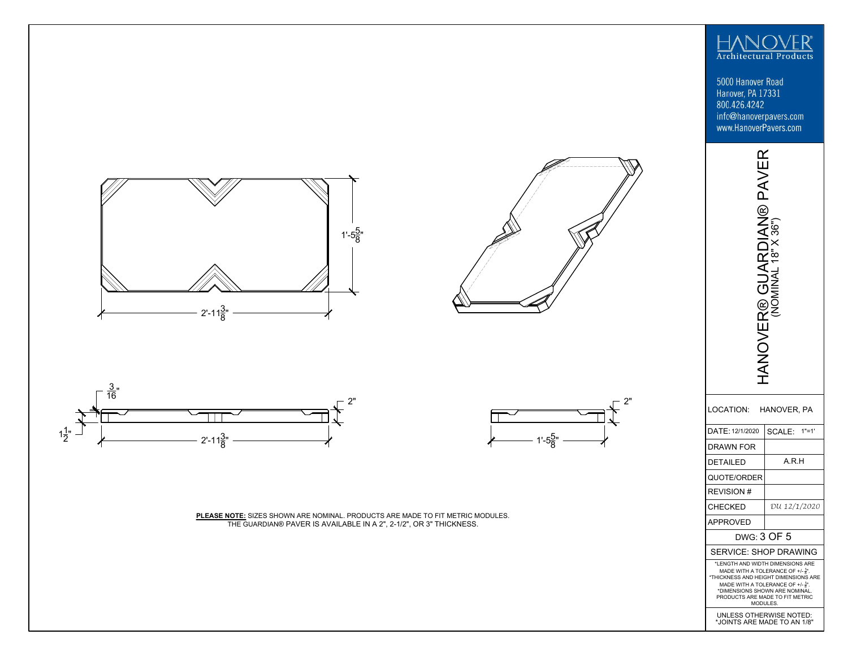

5000 Hanover Road Hanover, PA 17331 800.426.4242 info@hanoverpavers.com www.HanoverPavers.com









**PLEASE NOTE:** SIZES SHOWN ARE NOMINAL. PRODUCTS ARE MADE TO FIT METRIC MODULES. THE GUARDIAN® PAVER IS AVAILABLE IN A 2", 2-1/2", OR 3" THICKNESS.